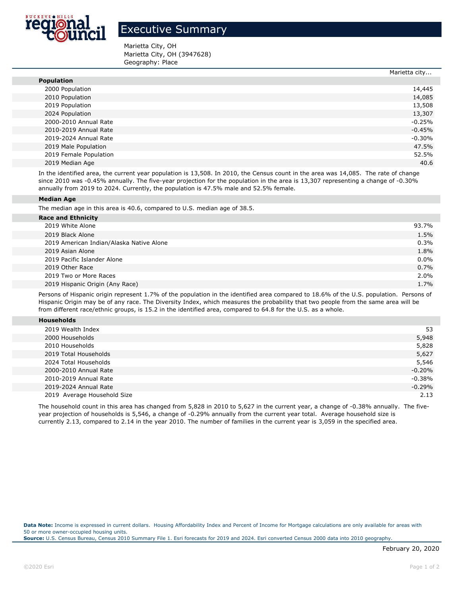

## Executive Summary

Marietta City, OH Marietta City, OH (3947628) Geography: Place

|                        | Marietta city |
|------------------------|---------------|
| <b>Population</b>      |               |
| 2000 Population        | 14,445        |
| 2010 Population        | 14,085        |
| 2019 Population        | 13,508        |
| 2024 Population        | 13,307        |
| 2000-2010 Annual Rate  | $-0.25%$      |
| 2010-2019 Annual Rate  | $-0.45%$      |
| 2019-2024 Annual Rate  | $-0.30\%$     |
| 2019 Male Population   | 47.5%         |
| 2019 Female Population | 52.5%         |
| 2019 Median Age        | 40.6          |
|                        |               |

In the identified area, the current year population is 13,508. In 2010, the Census count in the area was 14,085. The rate of change since 2010 was -0.45% annually. The five-year projection for the population in the area is 13,307 representing a change of -0.30% annually from 2019 to 2024. Currently, the population is 47.5% male and 52.5% female.

## **Median Age**

The median age in this area is 40.6, compared to U.S. median age of 38.5.

| <b>Race and Ethnicity</b>                |         |  |
|------------------------------------------|---------|--|
| 2019 White Alone                         | 93.7%   |  |
| 2019 Black Alone                         | 1.5%    |  |
| 2019 American Indian/Alaska Native Alone | $0.3\%$ |  |
| 2019 Asian Alone                         | 1.8%    |  |
| 2019 Pacific Islander Alone              | $0.0\%$ |  |
| 2019 Other Race                          | 0.7%    |  |
| 2019 Two or More Races                   | $2.0\%$ |  |
| 2019 Hispanic Origin (Any Race)          | 1.7%    |  |

Persons of Hispanic origin represent 1.7% of the population in the identified area compared to 18.6% of the U.S. population. Persons of Hispanic Origin may be of any race. The Diversity Index, which measures the probability that two people from the same area will be from different race/ethnic groups, is 15.2 in the identified area, compared to 64.8 for the U.S. as a whole.

| <b>Households</b>           |           |  |
|-----------------------------|-----------|--|
| 2019 Wealth Index           | 53        |  |
| 2000 Households             | 5,948     |  |
| 2010 Households             | 5,828     |  |
| 2019 Total Households       | 5,627     |  |
| 2024 Total Households       | 5,546     |  |
| 2000-2010 Annual Rate       | $-0.20%$  |  |
| 2010-2019 Annual Rate       | $-0.38\%$ |  |
| 2019-2024 Annual Rate       | $-0.29%$  |  |
| 2019 Average Household Size | 2.13      |  |

The household count in this area has changed from 5,828 in 2010 to 5,627 in the current year, a change of -0.38% annually. The fiveyear projection of households is 5,546, a change of -0.29% annually from the current year total. Average household size is currently 2.13, compared to 2.14 in the year 2010. The number of families in the current year is 3,059 in the specified area.

**Data Note:** Income is expressed in current dollars. Housing Affordability Index and Percent of Income for Mortgage calculations are only available for areas with 50 or more owner-occupied housing units.